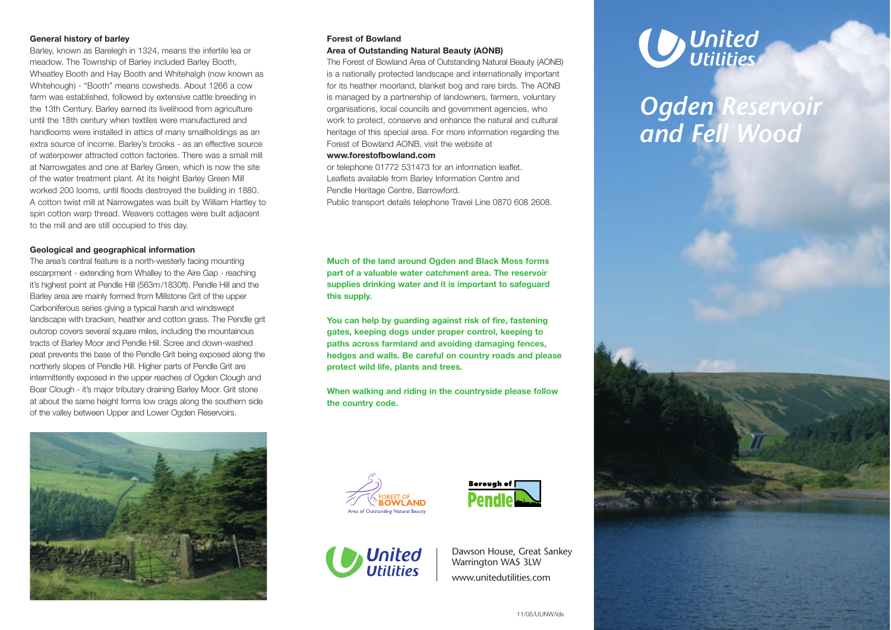## **General history of barley**

Barley, known as Barelegh in 1324, means the infertile lea or meadow. The Township of Barley included Barley Booth, Wheatley Booth and Hay Booth and Whitehalgh (now known as Whitehough) - "Booth" means cowsheds. About 1266 a cow farm was established, followed by extensive cattle breeding in the 13th Century. Barley earned its livelihood from agriculture until the 18th century when textiles were manufactured and handlooms were installed in attics of many smallholdings as an extra source of income. Barley's brooks - as an effective source of waterpower attracted cotton factories. There was a small mill at Narrowgates and one at Barley Green, which is now the site of the water treatment plant. At its height Barley Green Mill worked 200 looms, until floods destroyed the building in 1880. A cotton twist mill at Narrowgates was built by William Hartley to spin cotton warp thread. Weavers cottages were built adjacent to the mill and are still occupied to this day.

## **Geological and geographical information**

The area's central feature is a north-westerly facing mounting escarpment - extending from Whalley to the Aire Gap - reaching it's highest point at Pendle Hill (563m/1830ft). Pendle Hill and the Barley area are mainly formed from Millstone Grit of the upper Carboniferous series giving a typical harsh and windswept landscape with bracken, heather and cotton grass. The Pendle grit outcrop covers several square miles, including the mountainous tracts of Barley Moor and Pendle Hill. Scree and down-washed peat prevents the base of the Pendle Grit being exposed along the northerly slopes of Pendle Hill. Higher parts of Pendle Grit are intermittently exposed in the upper reaches of Ogden Clough and Boar Clough - it's major tributary draining Barley Moor. Grit stone at about the same height forms low crags along the southern side of the valley between Upper and Lower Ogden Reservoirs.



# **Forest of Bowland**

# **Area of Outstanding Natural Beauty (AONB)**

The Forest of Bowland Area of Outstanding Natural Beauty (AONB) is a nationally protected landscape and internationally important for its heather moorland, blanket bog and rare birds. The AONB is managed by a partnership of landowners, farmers, voluntary organisations, local councils and government agencies, who work to protect, conserve and enhance the natural and cultural heritage of this special area. For more information regarding the Forest of Bowland AONB, visit the website at

#### **www.forestofbowland.com**

or telephone 01772 531473 for an information leaflet. Leaflets available from Barley Information Centre and Pendle Heritage Centre, Barrowford. Public transport details telephone Travel Line 0870 608 2608.

**Much of the land around Ogden and Black Moss forms part of a valuable water catchment area. The reservoir supplies drinking water and it is important to safeguard this supply.**

**You can help by guarding against risk of fire, fastening gates, keeping dogs under proper control, keeping to paths across farmland and avoiding damaging fences, hedges and walls. Be careful on country roads and please protect wild life, plants and trees.**

**When walking and riding in the countryside please follow the country code.**







Dawson House, Great Sankey Warrington WA5 3LW www.unitedutilities.com



*Ogden Reservoir and Fell Wood*